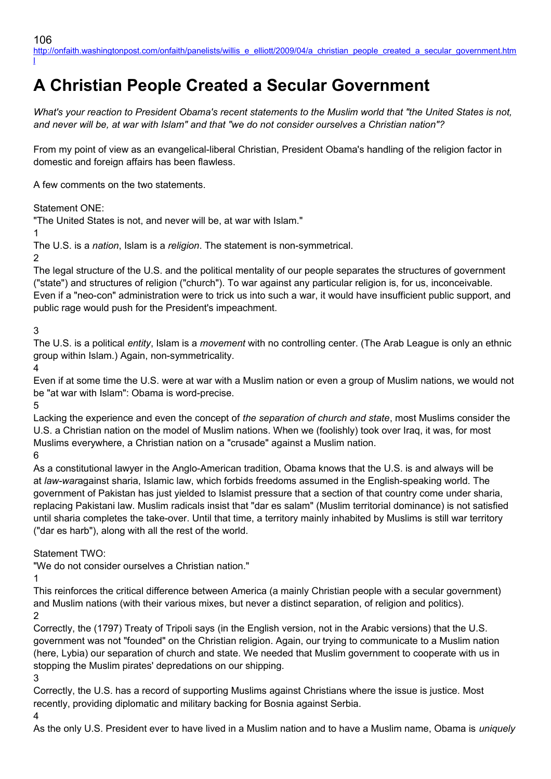106 [http://onfaith.washingtonpost.com/onfaith/panelists/willis\\_e\\_elliott/2009/04/a\\_christian\\_people\\_created\\_a\\_secular\\_government.htm](http://onfaith.washingtonpost.com/onfaith/panelists/willis_e_elliott/2009/04/a_christian_people_created_a_secular_government.html) [l](http://onfaith.washingtonpost.com/onfaith/panelists/willis_e_elliott/2009/04/a_christian_people_created_a_secular_government.html)

## **A Christian People Created a Secular Government**

*What's your reaction to President Obama's recent statements to the Muslim world that "the United States is not, and never will be, at war with Islam" and that "we do not consider ourselves a Christian nation"?*

From my point of view as an evangelical-liberal Christian, President Obama's handling of the religion factor in domestic and foreign affairs has been flawless.

A few comments on the two statements.

Statement ONE:

"The United States is not, and never will be, at war with Islam."

1

The U.S. is a *nation*, Islam is a *religion*. The statement is non-symmetrical.

2

The legal structure of the U.S. and the political mentality of our people separates the structures of government ("state") and structures of religion ("church"). To war against any particular religion is, for us, inconceivable. Even if a "neo-con" administration were to trick us into such a war, it would have insufficient public support, and public rage would push for the President's impeachment.

3

The U.S. is a political *entity*, Islam is a *movement* with no controlling center. (The Arab League is only an ethnic group within Islam.) Again, non-symmetricality.

4

Even if at some time the U.S. were at war with a Muslim nation or even a group of Muslim nations, we would not be "at war with Islam": Obama is word-precise.

5

Lacking the experience and even the concept of *the separation of church and state*, most Muslims consider the U.S. a Christian nation on the model of Muslim nations. When we (foolishly) took over Iraq, it was, for most Muslims everywhere, a Christian nation on a "crusade" against a Muslim nation.

6

As a constitutional lawyer in the Anglo-American tradition, Obama knows that the U.S. is and always will be at *law-war*against sharia, Islamic law, which forbids freedoms assumed in the English-speaking world. The government of Pakistan has just yielded to Islamist pressure that a section of that country come under sharia, replacing Pakistani law. Muslim radicals insist that "dar es salam" (Muslim territorial dominance) is not satisfied until sharia completes the take-over. Until that time, a territory mainly inhabited by Muslims is still war territory ("dar es harb"), along with all the rest of the world.

Statement TWO:

"We do not consider ourselves a Christian nation."

1

This reinforces the critical difference between America (a mainly Christian people with a secular government) and Muslim nations (with their various mixes, but never a distinct separation, of religion and politics). 2

Correctly, the (1797) Treaty of Tripoli says (in the English version, not in the Arabic versions) that the U.S. government was not "founded" on the Christian religion. Again, our trying to communicate to a Muslim nation (here, Lybia) our separation of church and state. We needed that Muslim government to cooperate with us in stopping the Muslim pirates' depredations on our shipping.

3

Correctly, the U.S. has a record of supporting Muslims against Christians where the issue is justice. Most recently, providing diplomatic and military backing for Bosnia against Serbia.

4

As the only U.S. President ever to have lived in a Muslim nation and to have a Muslim name, Obama is *uniquely*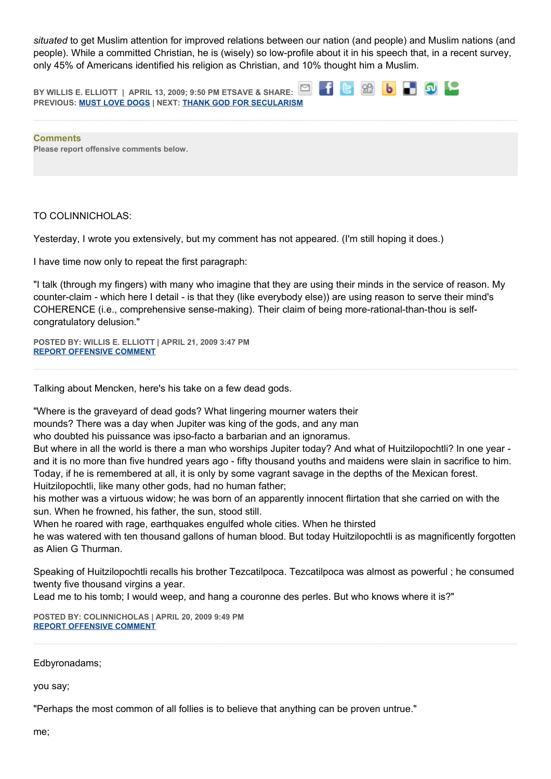*situated* to get Muslim attention for improved relations between our nation (and people) and Muslim nations (and people). While a committed Christian, he is (wisely) so low-profile about it in his speech that, in a recent survey, only 45% of Americans identified his religion as Christian, and 10% thought him a Muslim.

**b P Q P** 

 $97$ 

 $\Box$ **BY WILLIS E. ELLIOTT | APRIL 13, 2009; 9:50 PM ETSAVE & SHARE: PREVIOUS: [MUST LOVE DOGS](http://onfaith.washingtonpost.com/onfaith/panelists/susan_brooks_thistlethwaite/2009/04/must_love_dogs.html) | NEXT: [THANK GOD FOR SECULARISM](http://onfaith.washingtonpost.com/onfaith/panelists/susan_brooks_thistlethwaite/2009/04/thank_god_for_secularism.html)**

**Comments Please report offensive comments below.**

TO COLINNICHOLAS:

Yesterday, I wrote you extensively, but my comment has not appeared. (I'm still hoping it does.)

I have time now only to repeat the first paragraph:

"I talk (through my fingers) with many who imagine that they are using their minds in the service of reason. My counter-claim - which here I detail - is that they (like everybody else)) are using reason to serve their mind's COHERENCE (i.e., comprehensive sense-making). Their claim of being more-rational-than-thou is selfcongratulatory delusion."

**POSTED BY: WILLIS E. ELLIOTT | APRIL 21, 2009 3:47 PM [REPORT OFFENSIVE COMMENT](mailto:blogs@washingtonpost.com?subject=On%20Faith%20Panelists%20Blog%20%20%7C%20%20Willis%20E.%20Elliott%20%20%7C%20%20%20A%20Christian%20People%20Created%20a%20Secular%20Government%20%20%7C%20%204661816&body=%0D%0D%0D%0D%0D================%0D?__mode=view%26_type=comment%26id=4661816%26blog_id=618)**

Talking about Mencken, here's his take on a few dead gods.

"Where is the graveyard of dead gods? What lingering mourner waters their mounds? There was a day when Jupiter was king of the gods, and any man who doubted his puissance was ipso-facto a barbarian and an ignoramus.

But where in all the world is there a man who worships Jupiter today? And what of Huitzilopochtli? In one year and it is no more than five hundred years ago - fifty thousand youths and maidens were slain in sacrifice to him. Today, if he is remembered at all, it is only by some vagrant savage in the depths of the Mexican forest. Huitzilopochtli, like many other gods, had no human father;

his mother was a virtuous widow; he was born of an apparently innocent flirtation that she carried on with the sun. When he frowned, his father, the sun, stood still.

When he roared with rage, earthquakes engulfed whole cities. When he thirsted

he was watered with ten thousand gallons of human blood. But today Huitzilopochtli is as magnificently forgotten as Alien G Thurman.

Speaking of Huitzilopochtli recalls his brother Tezcatilpoca. Tezcatilpoca was almost as powerful ; he consumed twenty five thousand virgins a year.

Lead me to his tomb; I would weep, and hang a couronne des perles. But who knows where it is?"

**POSTED BY: COLINNICHOLAS | APRIL 20, 2009 9:49 PM [REPORT OFFENSIVE COMMENT](mailto:blogs@washingtonpost.com?subject=On%20Faith%20Panelists%20Blog%20%20%7C%20%20colinnicholas%20%20%7C%20%20%20A%20Christian%20People%20Created%20a%20Secular%20Government%20%20%7C%20%204661690&body=%0D%0D%0D%0D%0D================%0D?__mode=view%26_type=comment%26id=4661690%26blog_id=618)**

Edbyronadams;

you say;

"Perhaps the most common of all follies is to believe that anything can be proven untrue."

me;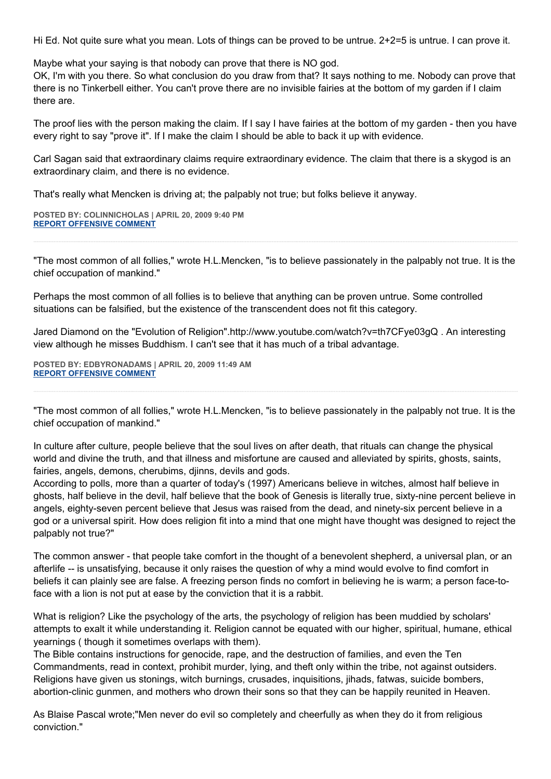Hi Ed. Not quite sure what you mean. Lots of things can be proved to be untrue. 2+2=5 is untrue. I can prove it.

Maybe what your saying is that nobody can prove that there is NO god.

OK, I'm with you there. So what conclusion do you draw from that? It says nothing to me. Nobody can prove that there is no Tinkerbell either. You can't prove there are no invisible fairies at the bottom of my garden if I claim there are.

The proof lies with the person making the claim. If I say I have fairies at the bottom of my garden - then you have every right to say "prove it". If I make the claim I should be able to back it up with evidence.

Carl Sagan said that extraordinary claims require extraordinary evidence. The claim that there is a skygod is an extraordinary claim, and there is no evidence.

That's really what Mencken is driving at; the palpably not true; but folks believe it anyway.

**POSTED BY: COLINNICHOLAS | APRIL 20, 2009 9:40 PM [REPORT OFFENSIVE COMMENT](mailto:blogs@washingtonpost.com?subject=On%20Faith%20Panelists%20Blog%20%20%7C%20%20colinnicholas%20%20%7C%20%20%20A%20Christian%20People%20Created%20a%20Secular%20Government%20%20%7C%20%204661688&body=%0D%0D%0D%0D%0D================%0D?__mode=view%26_type=comment%26id=4661688%26blog_id=618)**

"The most common of all follies," wrote H.L.Mencken, "is to believe passionately in the palpably not true. It is the chief occupation of mankind."

Perhaps the most common of all follies is to believe that anything can be proven untrue. Some controlled situations can be falsified, but the existence of the transcendent does not fit this category.

Jared Diamond on the "Evolution of Religion".http://www.youtube.com/watch?v=th7CFye03gQ . An interesting view although he misses Buddhism. I can't see that it has much of a tribal advantage.

**POSTED BY: EDBYRONADAMS | APRIL 20, 2009 11:49 AM [REPORT OFFENSIVE COMMENT](mailto:blogs@washingtonpost.com?subject=On%20Faith%20Panelists%20Blog%20%20%7C%20%20edbyronadams%20%20%7C%20%20%20A%20Christian%20People%20Created%20a%20Secular%20Government%20%20%7C%20%204661522&body=%0D%0D%0D%0D%0D================%0D?__mode=view%26_type=comment%26id=4661522%26blog_id=618)**

"The most common of all follies," wrote H.L.Mencken, "is to believe passionately in the palpably not true. It is the chief occupation of mankind."

In culture after culture, people believe that the soul lives on after death, that rituals can change the physical world and divine the truth, and that illness and misfortune are caused and alleviated by spirits, ghosts, saints, fairies, angels, demons, cherubims, diinns, devils and gods.

According to polls, more than a quarter of today's (1997) Americans believe in witches, almost half believe in ghosts, half believe in the devil, half believe that the book of Genesis is literally true, sixty-nine percent believe in angels, eighty-seven percent believe that Jesus was raised from the dead, and ninety-six percent believe in a god or a universal spirit. How does religion fit into a mind that one might have thought was designed to reject the palpably not true?"

The common answer - that people take comfort in the thought of a benevolent shepherd, a universal plan, or an afterlife -- is unsatisfying, because it only raises the question of why a mind would evolve to find comfort in beliefs it can plainly see are false. A freezing person finds no comfort in believing he is warm; a person face-toface with a lion is not put at ease by the conviction that it is a rabbit.

What is religion? Like the psychology of the arts, the psychology of religion has been muddied by scholars' attempts to exalt it while understanding it. Religion cannot be equated with our higher, spiritual, humane, ethical yearnings ( though it sometimes overlaps with them).

The Bible contains instructions for genocide, rape, and the destruction of families, and even the Ten Commandments, read in context, prohibit murder, lying, and theft only within the tribe, not against outsiders. Religions have given us stonings, witch burnings, crusades, inquisitions, jihads, fatwas, suicide bombers, abortion-clinic gunmen, and mothers who drown their sons so that they can be happily reunited in Heaven.

As Blaise Pascal wrote;"Men never do evil so completely and cheerfully as when they do it from religious conviction."